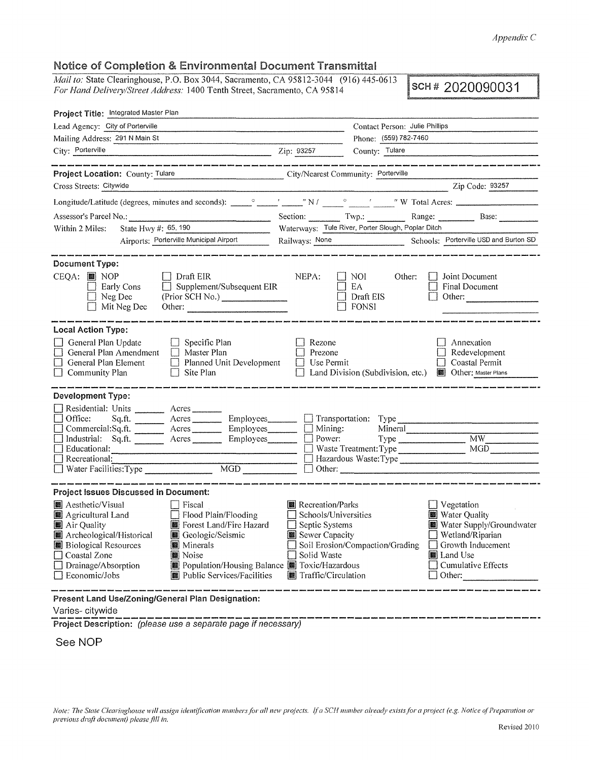*Appendix C* 

## Notice of Completion & Environmental Document Transmittal

*Mail to:* State Clearinghouse, P.O. Box 3044, Sacramento, CA 95812-3044 (916) 445-0613 *For Hand Delive1y!Street Address:* 1400 Tenth Street, Sacramento, CA 95814

SCH# 2020090031

| Contact Person: Julie Phillips<br>Phone: (559) 782-7460<br>County: Tulare<br>.<br>And because surerse manager manage manager andara kaland surung surera manageranan antara harawa harawa manage<br>City/Nearest Community: Porterville<br>Zip Code: 93257<br>Section: Twp.: Range: Base: Base:<br>Waterways: Tule River, Porter Slough, Poplar Ditch<br>Railways: None<br>Schools: Porterville USD and Burton SD<br>Joint Document<br>Other:<br>Final Document<br>Draft EIS<br>Other:<br>$\Box$<br>$\Box$ FONSI |
|------------------------------------------------------------------------------------------------------------------------------------------------------------------------------------------------------------------------------------------------------------------------------------------------------------------------------------------------------------------------------------------------------------------------------------------------------------------------------------------------------------------|
|                                                                                                                                                                                                                                                                                                                                                                                                                                                                                                                  |
|                                                                                                                                                                                                                                                                                                                                                                                                                                                                                                                  |
|                                                                                                                                                                                                                                                                                                                                                                                                                                                                                                                  |
|                                                                                                                                                                                                                                                                                                                                                                                                                                                                                                                  |
|                                                                                                                                                                                                                                                                                                                                                                                                                                                                                                                  |
|                                                                                                                                                                                                                                                                                                                                                                                                                                                                                                                  |
|                                                                                                                                                                                                                                                                                                                                                                                                                                                                                                                  |
|                                                                                                                                                                                                                                                                                                                                                                                                                                                                                                                  |
|                                                                                                                                                                                                                                                                                                                                                                                                                                                                                                                  |
|                                                                                                                                                                                                                                                                                                                                                                                                                                                                                                                  |
| Annexation<br>Redevelopment<br>Coastal Permit<br>Other: Master Plans<br>Land Division (Subdivision, etc.)                                                                                                                                                                                                                                                                                                                                                                                                        |
|                                                                                                                                                                                                                                                                                                                                                                                                                                                                                                                  |
| Mineral<br>Type <u>NW</u><br>MGD<br>Waste Treatment: Type<br>Hazardous Waste:Type                                                                                                                                                                                                                                                                                                                                                                                                                                |
|                                                                                                                                                                                                                                                                                                                                                                                                                                                                                                                  |
| $\Box$ Vegetation<br>Water Quality<br>Water Supply/Groundwater                                                                                                                                                                                                                                                                                                                                                                                                                                                   |
|                                                                                                                                                                                                                                                                                                                                                                                                                                                                                                                  |

-------------------------------------------------------------- **Project Description:** (please use a separate page if necessary)

See NOP